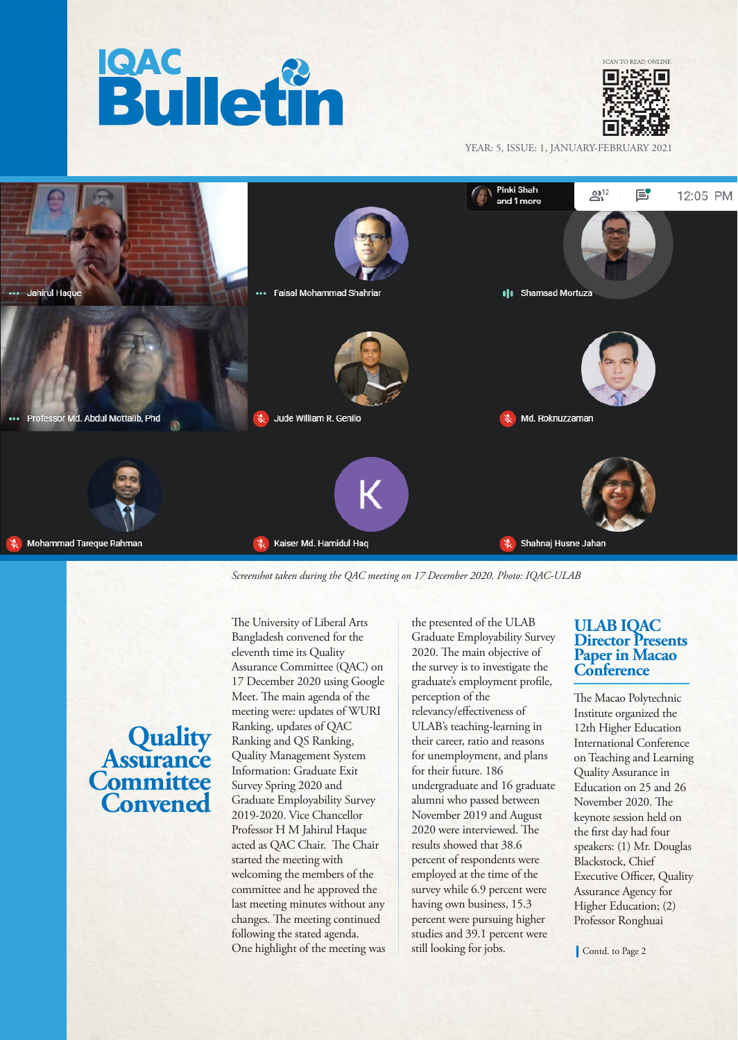



YEAR: 5, ISSUE: 1, JANUARY-FEBRUARY 2021



*Screenshot taken during the QAC meeting on 17 December 2020. Photo: IQAC-ULAB*

# **Quality Assurance Committee Convened**

The University of Liberal Arts Bangladesh convened for the eleventh time its Quality Assurance Committee (QAC) on 17 December 2020 using Google Meet. The main agenda of the meeting were: updates of WURI Ranking, updates of QAC Ranking and QS Ranking, Quality Management System Information: Graduate Exit Survey Spring 2020 and Graduate Employability Survey 2019-2020. Vice Chancellor Professor H M Jahirul Haque acted as QAC Chair. The Chair started the meeting with welcoming the members of the committee and he approved the last meeting minutes without any changes. The meeting continued following the stated agenda. One highlight of the meeting was

the presented of the ULAB Graduate Employability Survey 2020. The main objective of the survey is to investigate the graduate's employment profile, perception of the relevancy/effectiveness of ULAB's teaching-learning in their career, ratio and reasons for unemployment, and plans for their future. 186 undergraduate and 16 graduate alumni who passed between November 2019 and August 2020 were interviewed. The results showed that 38.6 percent of respondents were employed at the time of the survey while 6.9 percent were having own business, 15.3 percent were pursuing higher studies and 39.1 percent were still looking for jobs.

#### **ULAB IQAC Director Presents Paper in Macao Conference**

The Macao Polytechnic Institute organized the 12th Higher Education International Conference on Teaching and Learning Quality Assurance in Education on 25 and 26 November 2020. The keynote session held on the first day had four speakers: (1) Mr. Douglas Blackstock, Chief Executive Officer, Quality Assurance Agency for Higher Education; (2) Professor Ronghuai

Contd. to Page 2